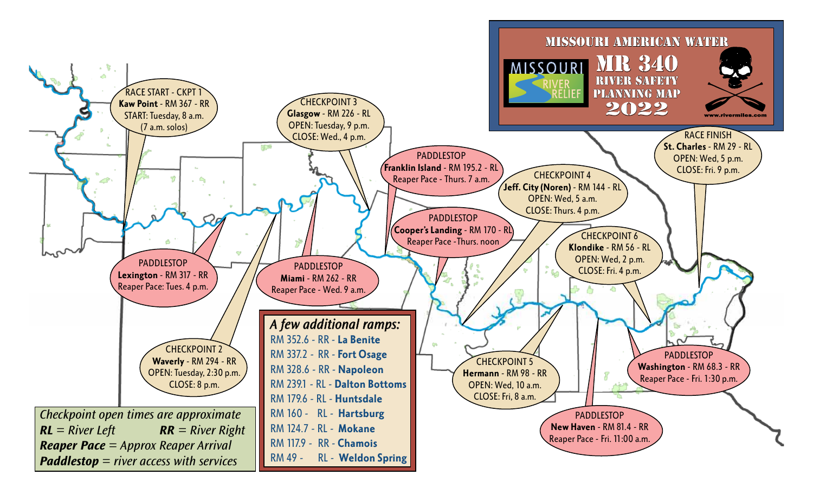